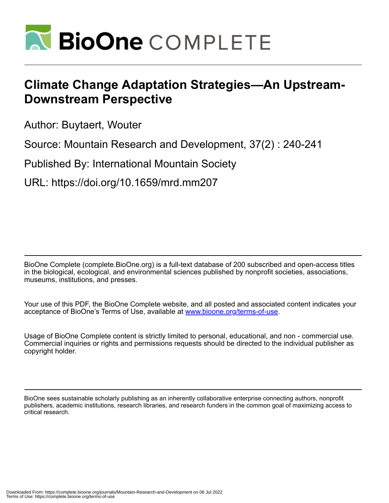

# **Climate Change Adaptation Strategies—An Upstream-Downstream Perspective**

Author: Buytaert, Wouter

Source: Mountain Research and Development, 37(2) : 240-241

Published By: International Mountain Society

URL: https://doi.org/10.1659/mrd.mm207

BioOne Complete (complete.BioOne.org) is a full-text database of 200 subscribed and open-access titles in the biological, ecological, and environmental sciences published by nonprofit societies, associations, museums, institutions, and presses.

Your use of this PDF, the BioOne Complete website, and all posted and associated content indicates your acceptance of BioOne's Terms of Use, available at www.bioone.org/terms-of-use.

Usage of BioOne Complete content is strictly limited to personal, educational, and non - commercial use. Commercial inquiries or rights and permissions requests should be directed to the individual publisher as copyright holder.

BioOne sees sustainable scholarly publishing as an inherently collaborative enterprise connecting authors, nonprofit publishers, academic institutions, research libraries, and research funders in the common goal of maximizing access to critical research.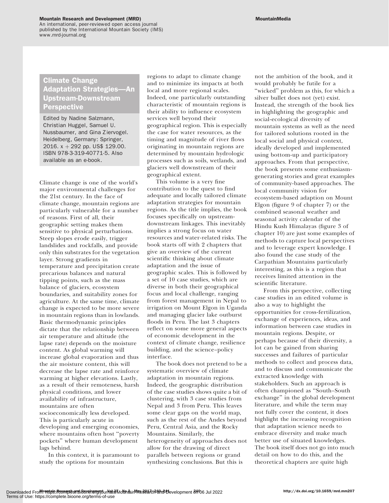#### Mountain Research and Development (MRD)

An international, peer-reviewed open access journal published by the International Mountain Society (IMS) www.mrd-journal.org

## Climate Change Adaptation Strategies—An Upstream-Downstream Perspective

Edited by Nadine Salzmann, Christian Huggel, Samuel U. Nussbaumer, and Gina Ziervogel. Heidelberg, Germany: Springer, 2016.  $x + 292$  pp. US\$ 129.00. ISBN 978-3-319-40771-5. Also available as an e-book.

Climate change is one of the world's major environmental challenges for the 21st century. In the face of climate change, mountain regions are particularly vulnerable for a number of reasons. First of all, their geographic setting makes them sensitive to physical perturbations. Steep slopes erode easily, trigger landslides and rockfalls, and provide only thin substrates for the vegetation layer. Strong gradients in temperature and precipitation create precarious balances and natural tipping points, such as the mass balance of glaciers, ecosystem boundaries, and suitability zones for agriculture. At the same time, climate change is expected to be more severe in mountain regions than in lowlands. Basic thermodynamic principles dictate that the relationship between air temperature and altitude (the lapse rate) depends on the moisture content. As global warming will increase global evaporation and thus the air moisture content, this will decrease the lapse rate and reinforce warming at higher elevations. Lastly, as a result of their remoteness, harsh physical conditions, and lower availability of infrastructure, mountains are often socioeconomically less developed. This is particularly acute in developing and emerging economies, where mountains often host ''poverty pockets'' where human development lags behind.

In this context, it is paramount to study the options for mountain

regions to adapt to climate change and to minimize its impacts at both local and more regional scales. Indeed, one particularly outstanding characteristic of mountain regions is their ability to influence ecosystem services well beyond their geographical region. This is especially the case for water resources, as the timing and magnitude of river flows originating in mountain regions are determined by mountain hydrologic processes such as soils, wetlands, and glaciers well downstream of their geographical extent.

This volume is a very fine contribution to the quest to find adequate and locally tailored climate adaptation strategies for mountain regions. As the title implies, the book focuses specifically on upstreamdownstream linkages. This inevitably implies a strong focus on water resources and water-related risks. The book starts off with 2 chapters that give an overview of the current scientific thinking about climate adaptation and the issue of geographic scales. This is followed by a set of 10 case studies, which are diverse in both their geographical focus and local challenge, ranging from forest management in Nepal to irrigation on Mount Elgon in Uganda and managing glacier lake outburst floods in Peru. The last 3 chapters reflect on some more general aspects of economic development in the context of climate change, resilience building, and the science–policy interface.

The book does not pretend to be a systematic overview of climate adaptation in mountain regions. Indeed, the geographic distribution of the case studies shows quite a bit of clustering, with 3 case studies from Nepal and 3 from Peru. This leaves some clear gaps on the world map, such as the rest of the Andes beyond Peru, Central Asia, and the Rocky Mountains. Similarly, the heterogeneity of approaches does not allow for the drawing of direct parallels between regions or grand synthesizing conclusions. But this is

not the ambition of the book, and it would probably be futile for a "wicked" problem as this, for which a silver bullet does not (yet) exist. Instead, the strength of the book lies in highlighting the geographic and social-ecological diversity of mountain systems as well as the need for tailored solutions rooted in the local social and physical context, ideally developed and implemented using bottom-up and participatory approaches. From that perspective, the book presents some enthusiasmgenerating stories and great examples of community-based approaches. The local community vision for ecosystem-based adaption on Mount Elgon (figure 9 of chapter 7) or the combined seasonal weather and seasonal activity calendar of the Hindu Kush Himalayas (figure 3 of chapter 10) are just some examples of methods to capture local perspectives and to leverage expert knowledge. I also found the case study of the Carpathian Mountains particularly interesting, as this is a region that receives limited attention in the scientific literature.

From this perspective, collecting case studies in an edited volume is also a way to highlight the opportunities for cross-fertilization, exchange of experiences, ideas, and information between case studies in mountain regions. Despite, or perhaps because of their diversity, a lot can be gained from sharing successes and failures of particular methods to collect and process data, and to discuss and communicate the extracted knowledge with stakeholders. Such an approach is often championed as ''South–South exchange'' in the global development literature, and while the term may not fully cover the content, it does highlight the increasing recognition that adaptation science needs to embrace diversity and make much better use of situated knowledges. The book itself does not go into much detail on how to do this, and the theoretical chapters are quite high